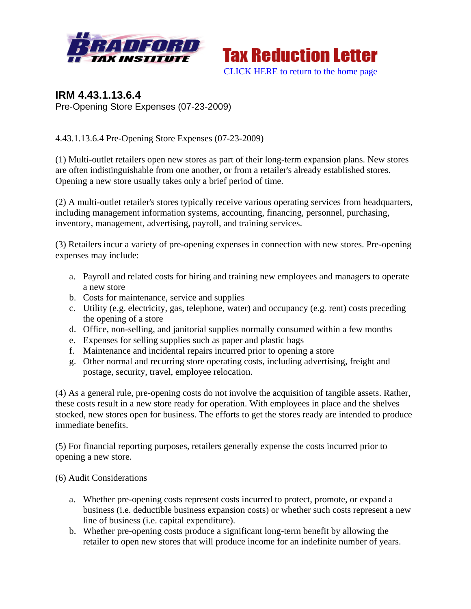



## **IRM 4.43.1.13.6.4**  Pre-Opening Store Expenses (07-23-2009)

4.43.1.13.6.4 Pre-Opening Store Expenses (07-23-2009)

(1) Multi-outlet retailers open new stores as part of their long-term expansion plans. New stores are often indistinguishable from one another, or from a retailer's already established stores. Opening a new store usually takes only a brief period of time.

(2) A multi-outlet retailer's stores typically receive various operating services from headquarters, including management information systems, accounting, financing, personnel, purchasing, inventory, management, advertising, payroll, and training services.

(3) Retailers incur a variety of pre-opening expenses in connection with new stores. Pre-opening expenses may include:

- a. Payroll and related costs for hiring and training new employees and managers to operate a new store
- b. Costs for maintenance, service and supplies
- c. Utility (e.g. electricity, gas, telephone, water) and occupancy (e.g. rent) costs preceding the opening of a store
- d. Office, non-selling, and janitorial supplies normally consumed within a few months
- e. Expenses for selling supplies such as paper and plastic bags
- f. Maintenance and incidental repairs incurred prior to opening a store
- g. Other normal and recurring store operating costs, including advertising, freight and postage, security, travel, employee relocation.

(4) As a general rule, pre-opening costs do not involve the acquisition of tangible assets. Rather, these costs result in a new store ready for operation. With employees in place and the shelves stocked, new stores open for business. The efforts to get the stores ready are intended to produce immediate benefits.

(5) For financial reporting purposes, retailers generally expense the costs incurred prior to opening a new store.

## (6) Audit Considerations

- a. Whether pre-opening costs represent costs incurred to protect, promote, or expand a business (i.e. deductible business expansion costs) or whether such costs represent a new line of business (i.e. capital expenditure).
- b. Whether pre-opening costs produce a significant long-term benefit by allowing the retailer to open new stores that will produce income for an indefinite number of years.